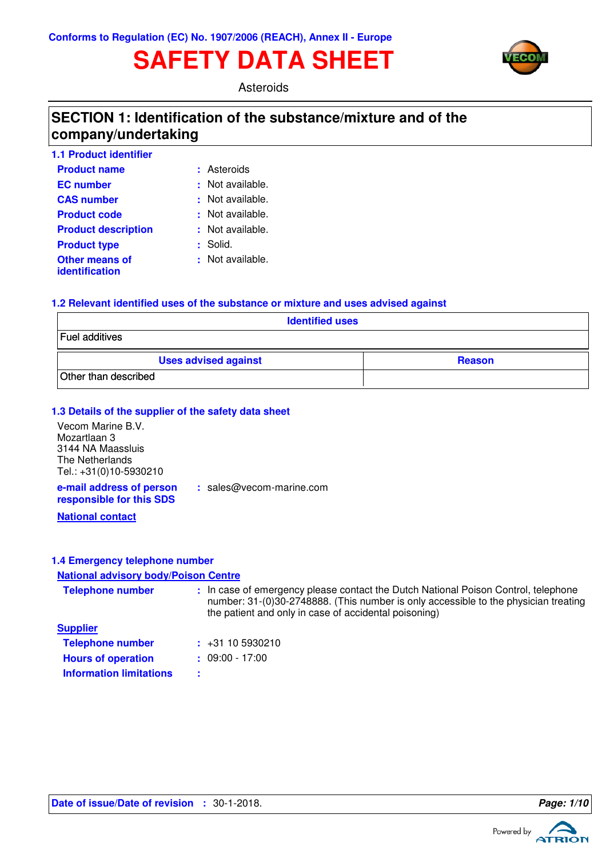# **SAFETY DATA SHEET**



Asteroids

## **SECTION 1: Identification of the substance/mixture and of the company/undertaking**

| <b>1.1 Product identifier</b> |                  |
|-------------------------------|------------------|
| <b>Product name</b>           | : Asteroids      |
| <b>EC</b> number              | : Not available. |
| <b>CAS number</b>             | : Not available. |
| <b>Product code</b>           | : Not available. |
| <b>Product description</b>    | : Not available. |
| <b>Product type</b>           | : Solid.         |
| <b>Other means of</b>         | : Not available. |
| identification                |                  |

### **1.2 Relevant identified uses of the substance or mixture and uses advised against**

**:** sales@vecom-marine.com

| <b>Identified uses</b>      |               |  |  |  |
|-----------------------------|---------------|--|--|--|
| Fuel additives              |               |  |  |  |
| <b>Uses advised against</b> | <b>Reason</b> |  |  |  |
| Other than described        |               |  |  |  |

### **1.3 Details of the supplier of the safety data sheet**

Vecom Marine B.V. Mozartlaan 3 3144 NA Maassluis The Netherlands Tel.: +31(0)10-5930210

**e-mail address of person responsible for this SDS**

**National contact**

### **1.4 Emergency telephone number**

### **National advisory body/Poison Centre**

| <b>Telephone number</b> | : In case of emergency please contact the Dutch National Poison Control, telephone<br>number: 31-(0)30-2748888. (This number is only accessible to the physician treating<br>the patient and only in case of accidental poisoning) |
|-------------------------|------------------------------------------------------------------------------------------------------------------------------------------------------------------------------------------------------------------------------------|
| <b>Supplier</b>         |                                                                                                                                                                                                                                    |
| <b>Telephone number</b> | $\div$ +31 10 5930210                                                                                                                                                                                                              |

| <b>TORRITORY HUMAN</b>    |                   |
|---------------------------|-------------------|
| <b>Hours of operation</b> | $: 09:00 - 17:00$ |

**Information limitations :**

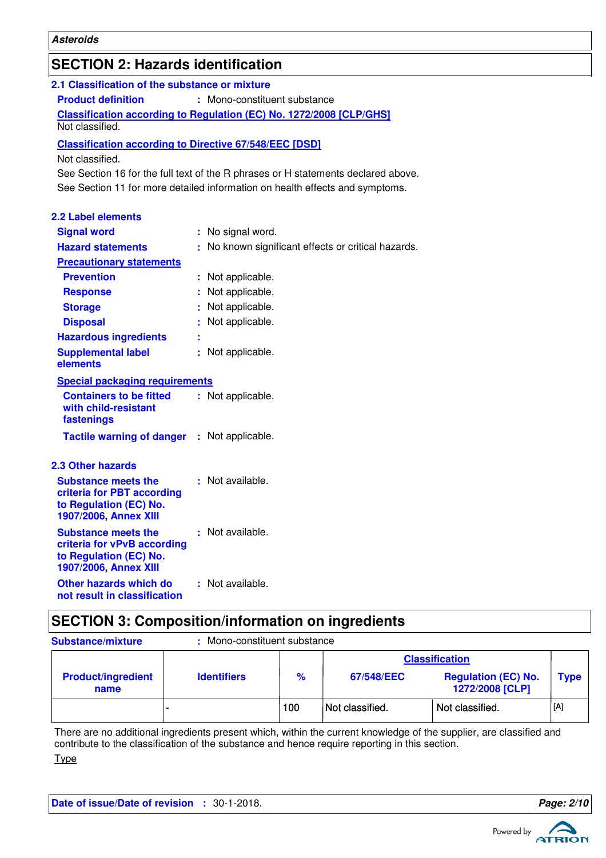## **SECTION 2: Hazards identification**

| 2.1 Classification of the substance or mixture                                                               |  |                                                                                   |
|--------------------------------------------------------------------------------------------------------------|--|-----------------------------------------------------------------------------------|
| <b>Product definition</b><br>: Mono-constituent substance                                                    |  |                                                                                   |
| Classification according to Regulation (EC) No. 1272/2008 [CLP/GHS]                                          |  |                                                                                   |
| Not classified.                                                                                              |  |                                                                                   |
| <b>Classification according to Directive 67/548/EEC [DSD]</b>                                                |  |                                                                                   |
| Not classified.                                                                                              |  |                                                                                   |
|                                                                                                              |  | See Section 16 for the full text of the R phrases or H statements declared above. |
|                                                                                                              |  | See Section 11 for more detailed information on health effects and symptoms.      |
|                                                                                                              |  |                                                                                   |
| <b>2.2 Label elements</b>                                                                                    |  |                                                                                   |
| <b>Signal word</b>                                                                                           |  | : No signal word.                                                                 |
| <b>Hazard statements</b>                                                                                     |  | : No known significant effects or critical hazards.                               |
| <b>Precautionary statements</b>                                                                              |  |                                                                                   |
| <b>Prevention</b>                                                                                            |  | : Not applicable.                                                                 |
| <b>Response</b>                                                                                              |  | Not applicable.                                                                   |
| <b>Storage</b>                                                                                               |  | : Not applicable.                                                                 |
| <b>Disposal</b>                                                                                              |  | Not applicable.                                                                   |
| <b>Hazardous ingredients</b>                                                                                 |  |                                                                                   |
| <b>Supplemental label</b><br>elements                                                                        |  | : Not applicable.                                                                 |
| <b>Special packaging requirements</b>                                                                        |  |                                                                                   |
| <b>Containers to be fitted</b><br>with child-resistant<br>fastenings                                         |  | : Not applicable.                                                                 |
| <b>Tactile warning of danger : Not applicable.</b>                                                           |  |                                                                                   |
| <b>2.3 Other hazards</b>                                                                                     |  |                                                                                   |
| <b>Substance meets the</b><br>criteria for PBT according<br>to Regulation (EC) No.<br>1907/2006, Annex XIII  |  | : Not available.                                                                  |
| <b>Substance meets the</b><br>criteria for vPvB according<br>to Regulation (EC) No.<br>1907/2006, Annex XIII |  | : Not available.                                                                  |
| Other hazards which do<br>not result in classification                                                       |  | : Not available.                                                                  |

## **SECTION 3: Composition/information on ingredients**

| <b>Substance/mixture</b>          | : Mono-constituent substance |               |                 |                                               |             |
|-----------------------------------|------------------------------|---------------|-----------------|-----------------------------------------------|-------------|
|                                   |                              |               |                 | <b>Classification</b>                         |             |
| <b>Product/ingredient</b><br>name | <b>Identifiers</b>           | $\frac{9}{6}$ | 67/548/EEC      | <b>Regulation (EC) No.</b><br>1272/2008 [CLP] | <b>Type</b> |
|                                   |                              | 100           | Not classified. | Not classified.                               | [A]         |

There are no additional ingredients present which, within the current knowledge of the supplier, are classified and contribute to the classification of the substance and hence require reporting in this section. **Type** 

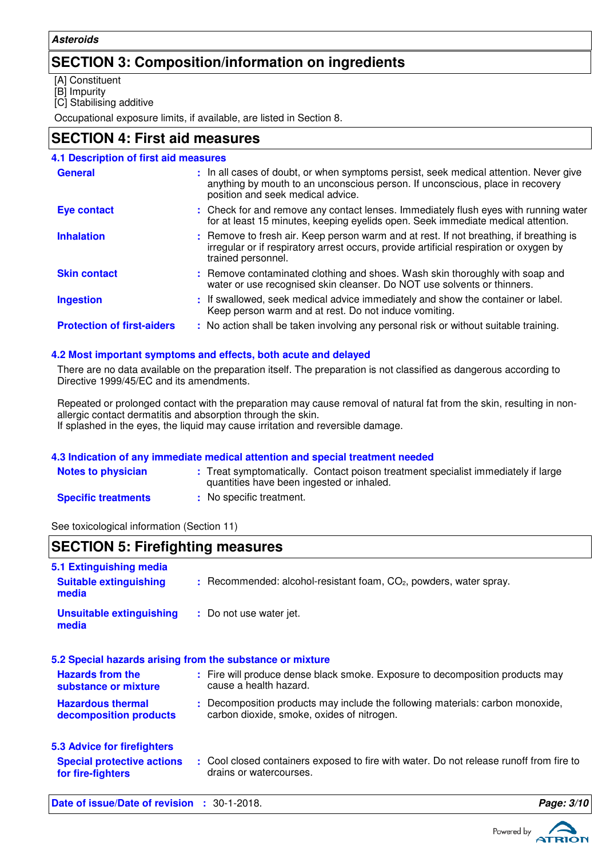### **SECTION 3: Composition/information on ingredients**

[A] Constituent

[B] Impurity

[C] Stabilising additive

Occupational exposure limits, if available, are listed in Section 8.

### **SECTION 4: First aid measures**

| <b>4.1 Description of first aid measures</b> |                                                                                                                                                                                                             |
|----------------------------------------------|-------------------------------------------------------------------------------------------------------------------------------------------------------------------------------------------------------------|
| <b>General</b>                               | : In all cases of doubt, or when symptoms persist, seek medical attention. Never give<br>anything by mouth to an unconscious person. If unconscious, place in recovery<br>position and seek medical advice. |
| <b>Eye contact</b>                           | : Check for and remove any contact lenses. Immediately flush eyes with running water<br>for at least 15 minutes, keeping eyelids open. Seek immediate medical attention.                                    |
| <b>Inhalation</b>                            | : Remove to fresh air. Keep person warm and at rest. If not breathing, if breathing is<br>irregular or if respiratory arrest occurs, provide artificial respiration or oxygen by<br>trained personnel.      |
| <b>Skin contact</b>                          | : Remove contaminated clothing and shoes. Wash skin thoroughly with soap and<br>water or use recognised skin cleanser. Do NOT use solvents or thinners.                                                     |
| <b>Ingestion</b>                             | : If swallowed, seek medical advice immediately and show the container or label.<br>Keep person warm and at rest. Do not induce vomiting.                                                                   |
| <b>Protection of first-aiders</b>            | : No action shall be taken involving any personal risk or without suitable training.                                                                                                                        |

### **4.2 Most important symptoms and effects, both acute and delayed**

There are no data available on the preparation itself. The preparation is not classified as dangerous according to Directive 1999/45/EC and its amendments.

Repeated or prolonged contact with the preparation may cause removal of natural fat from the skin, resulting in nonallergic contact dermatitis and absorption through the skin. If splashed in the eyes, the liquid may cause irritation and reversible damage.

### **4.3 Indication of any immediate medical attention and special treatment needed**

| <b>Notes to physician</b>  | : Treat symptomatically. Contact poison treatment specialist immediately if large<br>quantities have been ingested or inhaled. |
|----------------------------|--------------------------------------------------------------------------------------------------------------------------------|
| <b>Specific treatments</b> | : No specific treatment.                                                                                                       |

See toxicological information (Section 11)

### **SECTION 5: Firefighting measures**

| 5.1 Extinguishing media                                   |                                                                                                                              |
|-----------------------------------------------------------|------------------------------------------------------------------------------------------------------------------------------|
| <b>Suitable extinguishing</b><br>media                    | $:$ Recommended: alcohol-resistant foam, $CO2$ , powders, water spray.                                                       |
| <b>Unsuitable extinguishing</b><br>media                  | : Do not use water jet.                                                                                                      |
| 5.2 Special hazards arising from the substance or mixture |                                                                                                                              |
| <b>Hazards from the</b><br>substance or mixture           | : Fire will produce dense black smoke. Exposure to decomposition products may<br>cause a health hazard.                      |
| <b>Hazardous thermal</b><br>decomposition products        | : Decomposition products may include the following materials: carbon monoxide,<br>carbon dioxide, smoke, oxides of nitrogen. |
| 5.3 Advice for firefighters                               |                                                                                                                              |
| <b>Special protective actions</b><br>for fire-fighters    | : Cool closed containers exposed to fire with water. Do not release runoff from fire to<br>drains or watercourses.           |
| <b>Date of issue/Date of revision : 30-1-2018.</b>        | Page: 3/10                                                                                                                   |

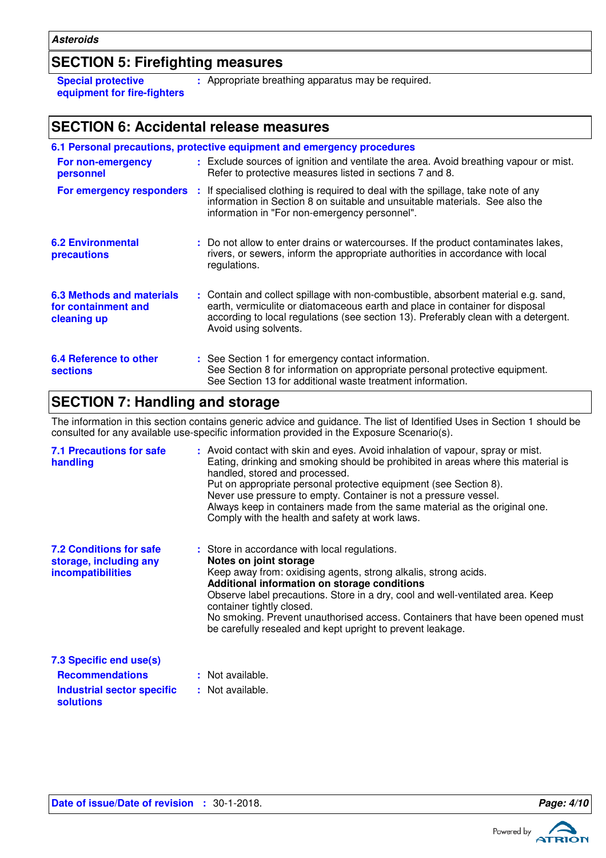### **SECTION 5: Firefighting measures**

**Special protective equipment for fire-fighters** **:** Appropriate breathing apparatus may be required.

### **SECTION 6: Accidental release measures**

|                                                                        | 6.1 Personal precautions, protective equipment and emergency procedures                                                                                                                                                                                                            |
|------------------------------------------------------------------------|------------------------------------------------------------------------------------------------------------------------------------------------------------------------------------------------------------------------------------------------------------------------------------|
| For non-emergency<br>personnel                                         | : Exclude sources of ignition and ventilate the area. Avoid breathing vapour or mist.<br>Refer to protective measures listed in sections 7 and 8.                                                                                                                                  |
| For emergency responders                                               | : If specialised clothing is required to deal with the spillage, take note of any<br>information in Section 8 on suitable and unsuitable materials. See also the<br>information in "For non-emergency personnel".                                                                  |
| <b>6.2 Environmental</b><br>precautions                                | : Do not allow to enter drains or watercourses. If the product contaminates lakes,<br>rivers, or sewers, inform the appropriate authorities in accordance with local<br>regulations.                                                                                               |
| <b>6.3 Methods and materials</b><br>for containment and<br>cleaning up | : Contain and collect spillage with non-combustible, absorbent material e.g. sand,<br>earth, vermiculite or diatomaceous earth and place in container for disposal<br>according to local regulations (see section 13). Preferably clean with a detergent.<br>Avoid using solvents. |
| 6.4 Reference to other<br><b>sections</b>                              | : See Section 1 for emergency contact information.<br>See Section 8 for information on appropriate personal protective equipment.<br>See Section 13 for additional waste treatment information.                                                                                    |

## **SECTION 7: Handling and storage**

The information in this section contains generic advice and guidance. The list of Identified Uses in Section 1 should be consulted for any available use-specific information provided in the Exposure Scenario(s).

| <b>7.1 Precautions for safe</b><br>handling                                          | : Avoid contact with skin and eyes. Avoid inhalation of vapour, spray or mist.<br>Eating, drinking and smoking should be prohibited in areas where this material is<br>handled, stored and processed.<br>Put on appropriate personal protective equipment (see Section 8).<br>Never use pressure to empty. Container is not a pressure vessel.<br>Always keep in containers made from the same material as the original one.<br>Comply with the health and safety at work laws. |
|--------------------------------------------------------------------------------------|---------------------------------------------------------------------------------------------------------------------------------------------------------------------------------------------------------------------------------------------------------------------------------------------------------------------------------------------------------------------------------------------------------------------------------------------------------------------------------|
| <b>7.2 Conditions for safe</b><br>storage, including any<br><b>incompatibilities</b> | : Store in accordance with local regulations.<br>Notes on joint storage<br>Keep away from: oxidising agents, strong alkalis, strong acids.<br>Additional information on storage conditions<br>Observe label precautions. Store in a dry, cool and well-ventilated area. Keep<br>container tightly closed.<br>No smoking. Prevent unauthorised access. Containers that have been opened must<br>be carefully resealed and kept upright to prevent leakage.                       |
| 7.3 Specific end use(s)<br><b>Recommendations</b>                                    | : Not available.                                                                                                                                                                                                                                                                                                                                                                                                                                                                |

#### **Recommendations : Industrial sector specific : solutions**

: Not available.

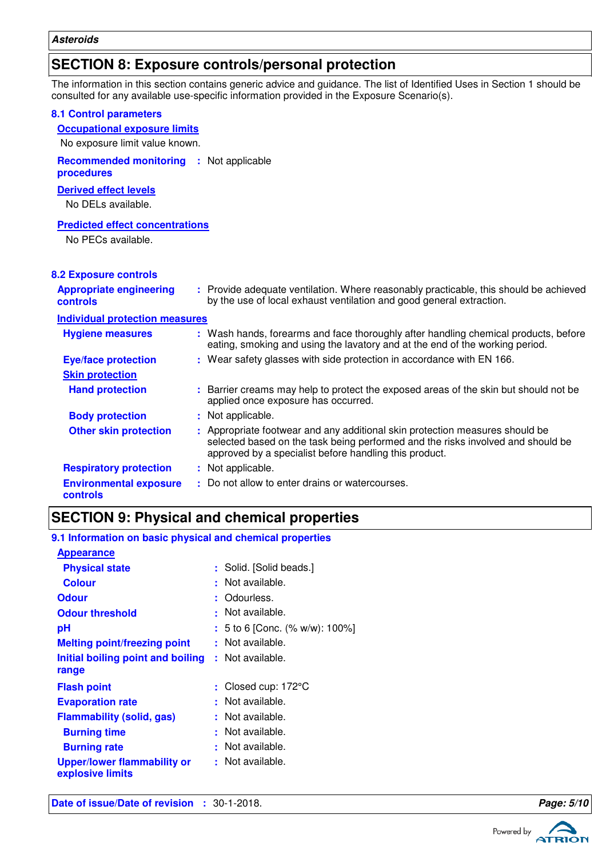### **SECTION 8: Exposure controls/personal protection**

The information in this section contains generic advice and guidance. The list of Identified Uses in Section 1 should be consulted for any available use-specific information provided in the Exposure Scenario(s).

| <b>8.1 Control parameters</b><br><b>Occupational exposure limits</b> |                                                                                                                                                                                                                           |
|----------------------------------------------------------------------|---------------------------------------------------------------------------------------------------------------------------------------------------------------------------------------------------------------------------|
| No exposure limit value known.                                       |                                                                                                                                                                                                                           |
| <b>Recommended monitoring</b><br>procedures                          | : Not applicable                                                                                                                                                                                                          |
| <b>Derived effect levels</b><br>No DELs available.                   |                                                                                                                                                                                                                           |
| <b>Predicted effect concentrations</b><br>No PECs available.         |                                                                                                                                                                                                                           |
| <b>8.2 Exposure controls</b>                                         |                                                                                                                                                                                                                           |
| <b>Appropriate engineering</b><br>controls                           | : Provide adequate ventilation. Where reasonably practicable, this should be achieved<br>by the use of local exhaust ventilation and good general extraction.                                                             |
| <b>Individual protection measures</b>                                |                                                                                                                                                                                                                           |
| <b>Hygiene measures</b>                                              | : Wash hands, forearms and face thoroughly after handling chemical products, before<br>eating, smoking and using the lavatory and at the end of the working period.                                                       |
| <b>Eye/face protection</b>                                           | : Wear safety glasses with side protection in accordance with EN 166.                                                                                                                                                     |
| <b>Skin protection</b>                                               |                                                                                                                                                                                                                           |
| <b>Hand protection</b>                                               | : Barrier creams may help to protect the exposed areas of the skin but should not be<br>applied once exposure has occurred.                                                                                               |
| <b>Body protection</b>                                               | : Not applicable.                                                                                                                                                                                                         |
| <b>Other skin protection</b>                                         | : Appropriate footwear and any additional skin protection measures should be<br>selected based on the task being performed and the risks involved and should be<br>approved by a specialist before handling this product. |
| <b>Respiratory protection</b>                                        | : Not applicable.                                                                                                                                                                                                         |
| <b>Environmental exposure</b><br>controls                            | : Do not allow to enter drains or watercourses.                                                                                                                                                                           |

## **SECTION 9: Physical and chemical properties**

### **9.1 Information on basic physical and chemical properties**

| <b>Appearance</b>                                      |                                |
|--------------------------------------------------------|--------------------------------|
| <b>Physical state</b>                                  | : Solid. [Solid beads.]        |
| <b>Colour</b>                                          | Not available.                 |
| <b>Odour</b>                                           | : Odourless.                   |
| <b>Odour threshold</b>                                 | Not available.<br>÷            |
| рH                                                     | : 5 to 6 [Conc. (% w/w): 100%] |
| <b>Melting point/freezing point</b>                    | : Not available.               |
| Initial boiling point and boiling                      | : Not available.               |
| range                                                  |                                |
| <b>Flash point</b>                                     | : Closed cup: $172^{\circ}$ C  |
| <b>Evaporation rate</b>                                | : Not available.               |
| <b>Flammability (solid, gas)</b>                       | Not available.<br>÷            |
| <b>Burning time</b>                                    | Not available.<br>÷.           |
| <b>Burning rate</b>                                    | : Not available.               |
| <b>Upper/lower flammability or</b><br>explosive limits | : Not available.               |
|                                                        |                                |

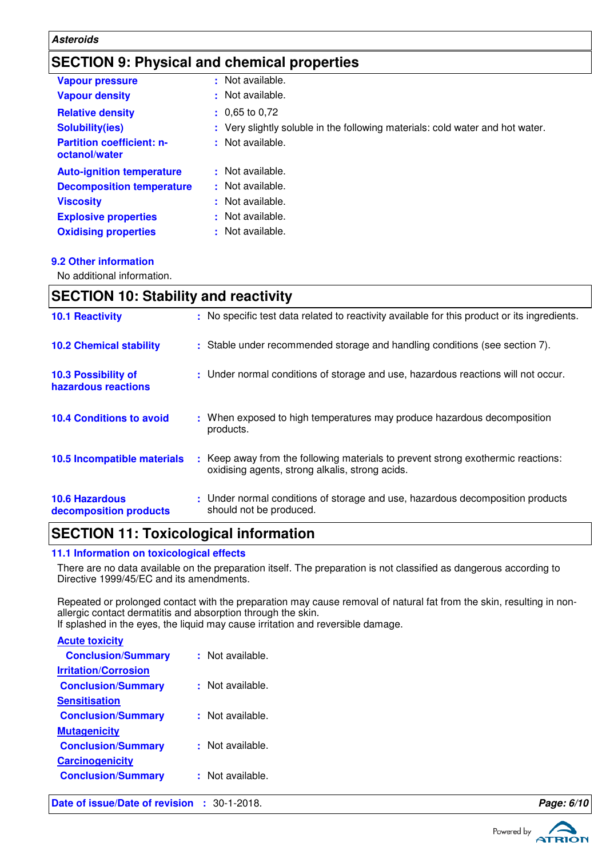### **Asteroids**

## **SECTION 9: Physical and chemical properties**

| <b>Vapour pressure</b>                            | : Not available.                                                              |
|---------------------------------------------------|-------------------------------------------------------------------------------|
| <b>Vapour density</b>                             | : Not available.                                                              |
| <b>Relative density</b>                           | $: 0.65$ to 0,72                                                              |
| <b>Solubility(ies)</b>                            | : Very slightly soluble in the following materials: cold water and hot water. |
| <b>Partition coefficient: n-</b><br>octanol/water | : Not available.                                                              |
| <b>Auto-ignition temperature</b>                  | : Not available.                                                              |
| <b>Decomposition temperature</b>                  | : Not available.                                                              |
| <b>Viscosity</b>                                  | : Not available.                                                              |
| <b>Explosive properties</b>                       | : Not available.                                                              |
| <b>Oxidising properties</b>                       | : Not available.                                                              |

### **9.2 Other information**

No additional information.

| <b>SECTION 10: Stability and reactivity</b>     |  |                                                                                                                                     |
|-------------------------------------------------|--|-------------------------------------------------------------------------------------------------------------------------------------|
| <b>10.1 Reactivity</b>                          |  | : No specific test data related to reactivity available for this product or its ingredients.                                        |
| <b>10.2 Chemical stability</b>                  |  | : Stable under recommended storage and handling conditions (see section 7).                                                         |
| 10.3 Possibility of<br>hazardous reactions      |  | : Under normal conditions of storage and use, hazardous reactions will not occur.                                                   |
| <b>10.4 Conditions to avoid</b>                 |  | : When exposed to high temperatures may produce hazardous decomposition<br>products.                                                |
| 10.5 Incompatible materials                     |  | : Keep away from the following materials to prevent strong exothermic reactions:<br>oxidising agents, strong alkalis, strong acids. |
| <b>10.6 Hazardous</b><br>decomposition products |  | : Under normal conditions of storage and use, hazardous decomposition products<br>should not be produced.                           |

## **SECTION 11: Toxicological information**

### **11.1 Information on toxicological effects**

There are no data available on the preparation itself. The preparation is not classified as dangerous according to Directive 1999/45/EC and its amendments.

Repeated or prolonged contact with the preparation may cause removal of natural fat from the skin, resulting in nonallergic contact dermatitis and absorption through the skin.

If splashed in the eyes, the liquid may cause irritation and reversible damage.

| Date of issue/Date of revision : 30-1-2018. |                  | Page: 6/10 |
|---------------------------------------------|------------------|------------|
| <b>Conclusion/Summary</b>                   | : Not available. |            |
| <b>Carcinogenicity</b>                      |                  |            |
| <b>Conclusion/Summary</b>                   | : Not available. |            |
| <b>Mutagenicity</b>                         |                  |            |
| <b>Conclusion/Summary</b>                   | : Not available. |            |
| <b>Sensitisation</b>                        |                  |            |
| <b>Conclusion/Summary</b>                   | : Not available. |            |
| <b>Irritation/Corrosion</b>                 |                  |            |
| <b>Conclusion/Summary</b>                   | : Not available. |            |
| <b>Acute toxicity</b>                       |                  |            |
|                                             |                  |            |

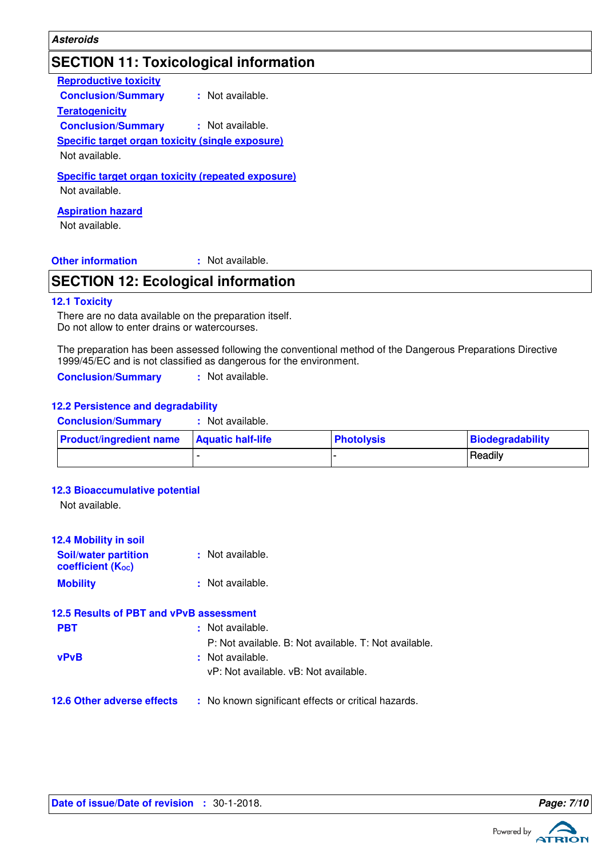### **Asteroids**

## **SECTION 11: Toxicological information**

| <b>Reproductive toxicity</b>                              |                      |
|-----------------------------------------------------------|----------------------|
| <b>Conclusion/Summary</b>                                 | : Not available.     |
| <b>Teratogenicity</b>                                     |                      |
| <b>Conclusion/Summary</b>                                 | $\pm$ Not available. |
| <b>Specific target organ toxicity (single exposure)</b>   |                      |
| Not available.                                            |                      |
| <b>Specific target organ toxicity (repeated exposure)</b> |                      |
| Not available.                                            |                      |
| <b>Aspiration hazard</b>                                  |                      |
| Not available.                                            |                      |

#### **Other information :**

: Not available.

## **SECTION 12: Ecological information**

#### **12.1 Toxicity**

There are no data available on the preparation itself. Do not allow to enter drains or watercourses.

The preparation has been assessed following the conventional method of the Dangerous Preparations Directive 1999/45/EC and is not classified as dangerous for the environment.

**Conclusion/Summary :** Not available.

#### **12.2 Persistence and degradability**

| <b>Conclusion/Summary</b>      | Not available.           |                   |                  |
|--------------------------------|--------------------------|-------------------|------------------|
| <b>Product/ingredient name</b> | <b>Aquatic half-life</b> | <b>Photolysis</b> | Biodegradability |
|                                |                          |                   | Readily          |

### **12.3 Bioaccumulative potential**

Not available.

| <b>12.4 Mobility in soil</b><br><b>Soil/water partition</b><br><b>coefficient (Koc)</b> | : Not available.                                      |
|-----------------------------------------------------------------------------------------|-------------------------------------------------------|
| <b>Mobility</b>                                                                         | : Not available.                                      |
| 12.5 Results of PBT and vPvB assessment                                                 |                                                       |
| <b>PBT</b>                                                                              | : Not available.                                      |
|                                                                                         | P: Not available. B: Not available. T: Not available. |
| <b>vPvB</b>                                                                             | : Not available.                                      |
|                                                                                         | vP: Not available, vB: Not available.                 |
| <b>12.6 Other adverse effects</b>                                                       | : No known significant effects or critical hazards.   |

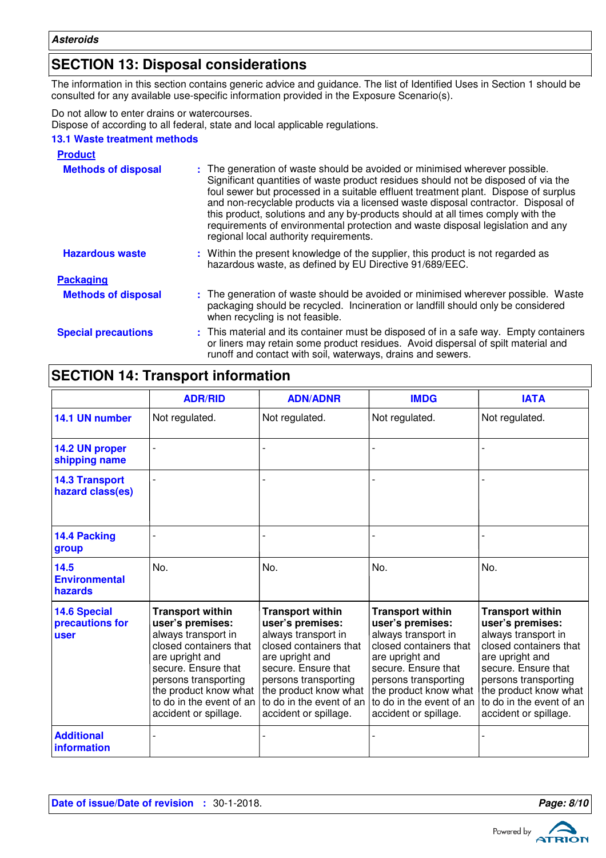## **SECTION 13: Disposal considerations**

The information in this section contains generic advice and guidance. The list of Identified Uses in Section 1 should be consulted for any available use-specific information provided in the Exposure Scenario(s).

Do not allow to enter drains or watercourses.

Dispose of according to all federal, state and local applicable regulations.

### **13.1 Waste treatment methods**

| <b>Product</b>             |                                                                                                                                                                                                                                                                                                                                                                                                                                                                                                                                                               |
|----------------------------|---------------------------------------------------------------------------------------------------------------------------------------------------------------------------------------------------------------------------------------------------------------------------------------------------------------------------------------------------------------------------------------------------------------------------------------------------------------------------------------------------------------------------------------------------------------|
| <b>Methods of disposal</b> | : The generation of waste should be avoided or minimised wherever possible.<br>Significant quantities of waste product residues should not be disposed of via the<br>foul sewer but processed in a suitable effluent treatment plant. Dispose of surplus<br>and non-recyclable products via a licensed waste disposal contractor. Disposal of<br>this product, solutions and any by-products should at all times comply with the<br>requirements of environmental protection and waste disposal legislation and any<br>regional local authority requirements. |
| <b>Hazardous waste</b>     | : Within the present knowledge of the supplier, this product is not regarded as<br>hazardous waste, as defined by EU Directive 91/689/EEC.                                                                                                                                                                                                                                                                                                                                                                                                                    |
| <b>Packaging</b>           |                                                                                                                                                                                                                                                                                                                                                                                                                                                                                                                                                               |
| <b>Methods of disposal</b> | : The generation of waste should be avoided or minimised wherever possible. Waste<br>packaging should be recycled. Incineration or landfill should only be considered<br>when recycling is not feasible.                                                                                                                                                                                                                                                                                                                                                      |
| <b>Special precautions</b> | : This material and its container must be disposed of in a safe way. Empty containers<br>or liners may retain some product residues. Avoid dispersal of spilt material and<br>runoff and contact with soil, waterways, drains and sewers.                                                                                                                                                                                                                                                                                                                     |

## **SECTION 14: Transport information**

|                                                | <b>ADR/RID</b>                                                                                                                                                                                                                               | <b>ADN/ADNR</b>                                                                                                                                                                                                                              | <b>IMDG</b>                                                                                                                                                                                                                                  | <b>IATA</b>                                                                                                                                                                                                                                  |
|------------------------------------------------|----------------------------------------------------------------------------------------------------------------------------------------------------------------------------------------------------------------------------------------------|----------------------------------------------------------------------------------------------------------------------------------------------------------------------------------------------------------------------------------------------|----------------------------------------------------------------------------------------------------------------------------------------------------------------------------------------------------------------------------------------------|----------------------------------------------------------------------------------------------------------------------------------------------------------------------------------------------------------------------------------------------|
| 14.1 UN number                                 | Not regulated.                                                                                                                                                                                                                               | Not regulated.                                                                                                                                                                                                                               | Not regulated.                                                                                                                                                                                                                               | Not regulated.                                                                                                                                                                                                                               |
| 14.2 UN proper<br>shipping name                |                                                                                                                                                                                                                                              |                                                                                                                                                                                                                                              |                                                                                                                                                                                                                                              |                                                                                                                                                                                                                                              |
| <b>14.3 Transport</b><br>hazard class(es)      |                                                                                                                                                                                                                                              |                                                                                                                                                                                                                                              |                                                                                                                                                                                                                                              |                                                                                                                                                                                                                                              |
| 14.4 Packing<br>group                          |                                                                                                                                                                                                                                              |                                                                                                                                                                                                                                              |                                                                                                                                                                                                                                              |                                                                                                                                                                                                                                              |
| 14.5<br><b>Environmental</b><br>hazards        | No.                                                                                                                                                                                                                                          | No.                                                                                                                                                                                                                                          | No.                                                                                                                                                                                                                                          | No.                                                                                                                                                                                                                                          |
| <b>14.6 Special</b><br>precautions for<br>user | <b>Transport within</b><br>user's premises:<br>always transport in<br>closed containers that<br>are upright and<br>secure. Ensure that<br>persons transporting<br>the product know what<br>to do in the event of an<br>accident or spillage. | <b>Transport within</b><br>user's premises:<br>always transport in<br>closed containers that<br>are upright and<br>secure. Ensure that<br>persons transporting<br>the product know what<br>to do in the event of an<br>accident or spillage. | <b>Transport within</b><br>user's premises:<br>always transport in<br>closed containers that<br>are upright and<br>secure. Ensure that<br>persons transporting<br>the product know what<br>to do in the event of an<br>accident or spillage. | <b>Transport within</b><br>user's premises:<br>always transport in<br>closed containers that<br>are upright and<br>secure. Ensure that<br>persons transporting<br>the product know what<br>to do in the event of an<br>accident or spillage. |
| <b>Additional</b><br>information               |                                                                                                                                                                                                                                              |                                                                                                                                                                                                                                              |                                                                                                                                                                                                                                              |                                                                                                                                                                                                                                              |

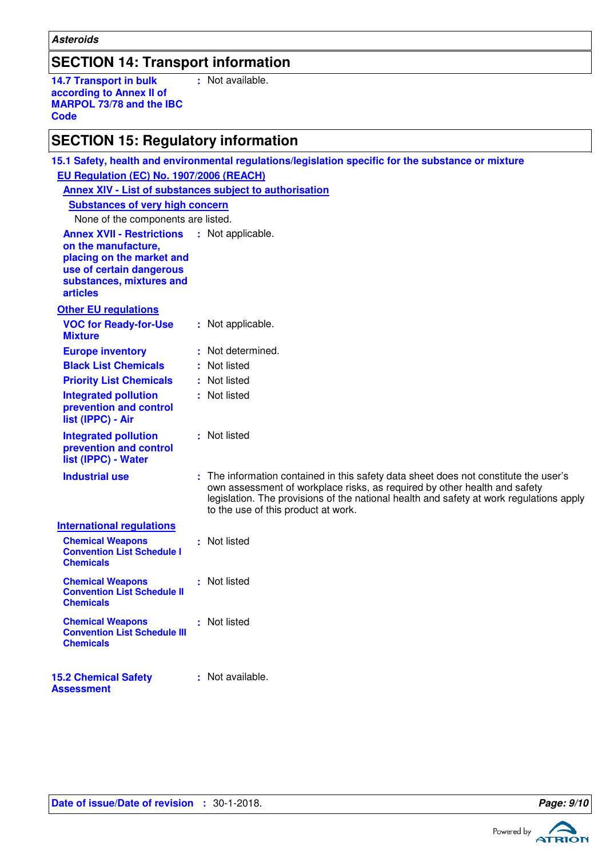### **SECTION 14: Transport information**

**14.7 Transport in bulk according to Annex II of MARPOL 73/78 and the IBC Code :** Not available.

## **SECTION 15: Regulatory information**

| 15.1 Safety, health and environmental regulations/legislation specific for the substance or mixture                                                                                  |  |                                                                                                                                                                                                                                                                                                     |
|--------------------------------------------------------------------------------------------------------------------------------------------------------------------------------------|--|-----------------------------------------------------------------------------------------------------------------------------------------------------------------------------------------------------------------------------------------------------------------------------------------------------|
| EU Regulation (EC) No. 1907/2006 (REACH)                                                                                                                                             |  |                                                                                                                                                                                                                                                                                                     |
| <b>Annex XIV - List of substances subject to authorisation</b>                                                                                                                       |  |                                                                                                                                                                                                                                                                                                     |
| <b>Substances of very high concern</b>                                                                                                                                               |  |                                                                                                                                                                                                                                                                                                     |
| None of the components are listed.                                                                                                                                                   |  |                                                                                                                                                                                                                                                                                                     |
| <b>Annex XVII - Restrictions</b><br>: Not applicable.<br>on the manufacture,<br>placing on the market and<br>use of certain dangerous<br>substances, mixtures and<br><b>articles</b> |  |                                                                                                                                                                                                                                                                                                     |
| <b>Other EU regulations</b>                                                                                                                                                          |  |                                                                                                                                                                                                                                                                                                     |
| <b>VOC for Ready-for-Use</b><br><b>Mixture</b>                                                                                                                                       |  | : Not applicable.                                                                                                                                                                                                                                                                                   |
| <b>Europe inventory</b>                                                                                                                                                              |  | : Not determined.                                                                                                                                                                                                                                                                                   |
| <b>Black List Chemicals</b>                                                                                                                                                          |  | Not listed                                                                                                                                                                                                                                                                                          |
| <b>Priority List Chemicals</b>                                                                                                                                                       |  | : Not listed                                                                                                                                                                                                                                                                                        |
| <b>Integrated pollution</b><br>prevention and control<br>list (IPPC) - Air                                                                                                           |  | : Not listed                                                                                                                                                                                                                                                                                        |
| <b>Integrated pollution</b><br>prevention and control<br>list (IPPC) - Water                                                                                                         |  | : Not listed                                                                                                                                                                                                                                                                                        |
| <b>Industrial use</b>                                                                                                                                                                |  | : The information contained in this safety data sheet does not constitute the user's<br>own assessment of workplace risks, as required by other health and safety<br>legislation. The provisions of the national health and safety at work regulations apply<br>to the use of this product at work. |
| <b>International regulations</b>                                                                                                                                                     |  |                                                                                                                                                                                                                                                                                                     |
| <b>Chemical Weapons</b><br><b>Convention List Schedule I</b><br><b>Chemicals</b>                                                                                                     |  | : Not listed                                                                                                                                                                                                                                                                                        |
| <b>Chemical Weapons</b><br><b>Convention List Schedule II</b><br><b>Chemicals</b>                                                                                                    |  | : Not listed                                                                                                                                                                                                                                                                                        |
| <b>Chemical Weapons</b><br><b>Convention List Schedule III</b><br><b>Chemicals</b>                                                                                                   |  | : Not listed                                                                                                                                                                                                                                                                                        |
| 15.2 Chamical Safaty                                                                                                                                                                 |  | • Not available                                                                                                                                                                                                                                                                                     |

| <b>15.2 Chemical Safety</b> | : Not available. |
|-----------------------------|------------------|
| Assessment                  |                  |
|                             |                  |